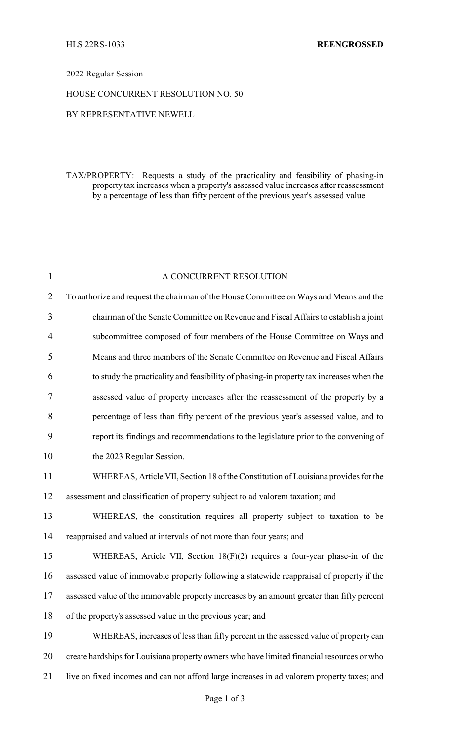## 2022 Regular Session

## HOUSE CONCURRENT RESOLUTION NO. 50

# BY REPRESENTATIVE NEWELL

TAX/PROPERTY: Requests a study of the practicality and feasibility of phasing-in property tax increases when a property's assessed value increases after reassessment by a percentage of less than fifty percent of the previous year's assessed value

| A CONCURRENT RESOLUTION                                                                    |
|--------------------------------------------------------------------------------------------|
| To authorize and request the chairman of the House Committee on Ways and Means and the     |
| chairman of the Senate Committee on Revenue and Fiscal Affairs to establish a joint        |
| subcommittee composed of four members of the House Committee on Ways and                   |
| Means and three members of the Senate Committee on Revenue and Fiscal Affairs              |
| to study the practicality and feasibility of phasing-in property tax increases when the    |
| assessed value of property increases after the reassessment of the property by a           |
| percentage of less than fifty percent of the previous year's assessed value, and to        |
| report its findings and recommendations to the legislature prior to the convening of       |
| the 2023 Regular Session.                                                                  |
| WHEREAS, Article VII, Section 18 of the Constitution of Louisiana provides for the         |
| assessment and classification of property subject to ad valorem taxation; and              |
| WHEREAS, the constitution requires all property subject to taxation to be                  |
| reappraised and valued at intervals of not more than four years; and                       |
| WHEREAS, Article VII, Section 18(F)(2) requires a four-year phase-in of the                |
| assessed value of immovable property following a statewide reappraisal of property if the  |
| assessed value of the immovable property increases by an amount greater than fifty percent |
| of the property's assessed value in the previous year; and                                 |
| WHEREAS, increases of less than fifty percent in the assessed value of property can        |
| create hardships for Louisiana property owners who have limited financial resources or who |
| live on fixed incomes and can not afford large increases in ad valorem property taxes; and |
|                                                                                            |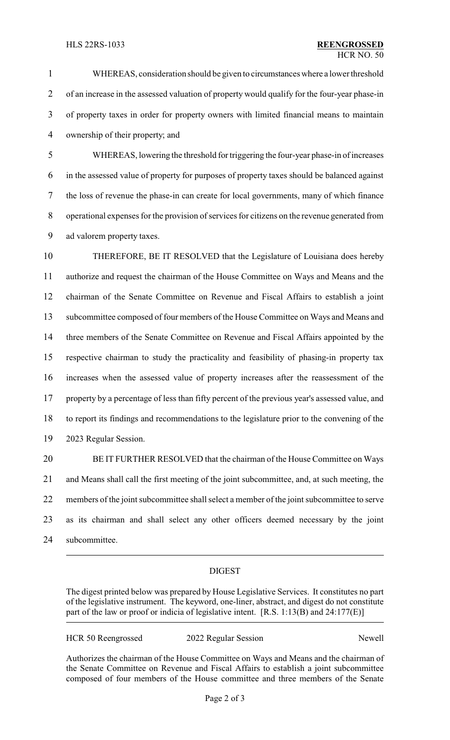WHEREAS, consideration should be given to circumstances where a lower threshold of an increase in the assessed valuation of property would qualify for the four-year phase-in

 of property taxes in order for property owners with limited financial means to maintain ownership of their property; and

 WHEREAS, lowering the threshold for triggering the four-year phase-in of increases in the assessed value of property for purposes of property taxes should be balanced against the loss of revenue the phase-in can create for local governments, many of which finance operational expenses for the provision of services for citizens on the revenue generated from ad valorem property taxes.

 THEREFORE, BE IT RESOLVED that the Legislature of Louisiana does hereby authorize and request the chairman of the House Committee on Ways and Means and the chairman of the Senate Committee on Revenue and Fiscal Affairs to establish a joint subcommittee composed of four members of the House Committee on Ways and Means and three members of the Senate Committee on Revenue and Fiscal Affairs appointed by the respective chairman to study the practicality and feasibility of phasing-in property tax increases when the assessed value of property increases after the reassessment of the property by a percentage of less than fifty percent of the previous year's assessed value, and to report its findings and recommendations to the legislature prior to the convening of the 2023 Regular Session.

 BE IT FURTHER RESOLVED that the chairman of the House Committee on Ways and Means shall call the first meeting of the joint subcommittee, and, at such meeting, the members of the joint subcommittee shall select a member of the joint subcommittee to serve as its chairman and shall select any other officers deemed necessary by the joint subcommittee.

# DIGEST

The digest printed below was prepared by House Legislative Services. It constitutes no part of the legislative instrument. The keyword, one-liner, abstract, and digest do not constitute part of the law or proof or indicia of legislative intent. [R.S. 1:13(B) and 24:177(E)]

| <b>HCR 50 Reengrossed</b> | 2022 Regular Session | Newell |
|---------------------------|----------------------|--------|
|                           |                      |        |

Authorizes the chairman of the House Committee on Ways and Means and the chairman of the Senate Committee on Revenue and Fiscal Affairs to establish a joint subcommittee composed of four members of the House committee and three members of the Senate